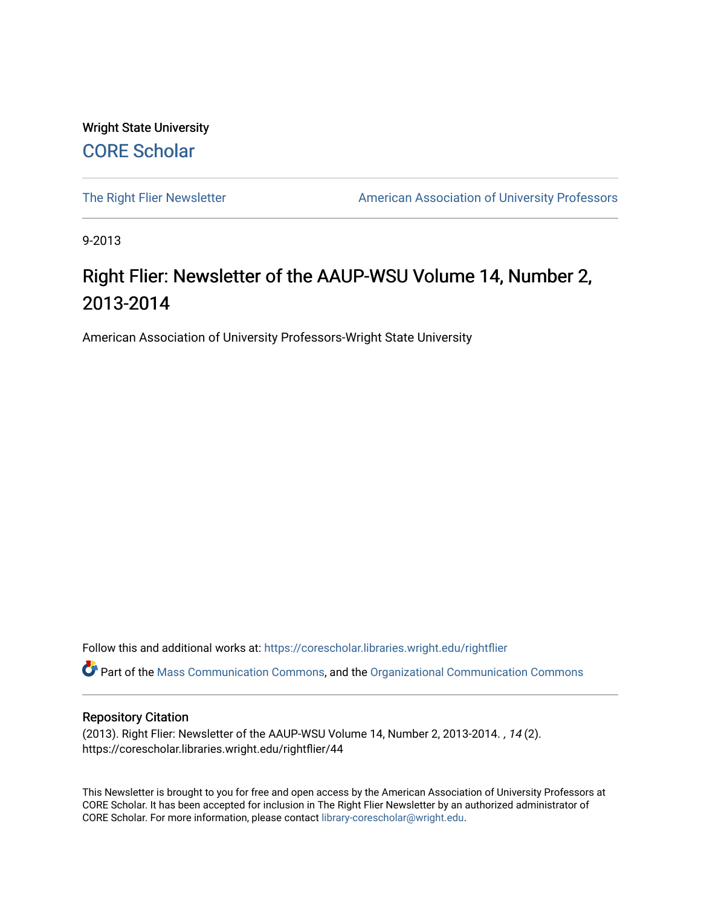Wright State University [CORE Scholar](https://corescholar.libraries.wright.edu/)

[The Right Flier Newsletter](https://corescholar.libraries.wright.edu/rightflier) **American Association of University Professors** 

9-2013

### Right Flier: Newsletter of the AAUP-WSU Volume 14, Number 2, 2013-2014

American Association of University Professors-Wright State University

Follow this and additional works at: [https://corescholar.libraries.wright.edu/rightflier](https://corescholar.libraries.wright.edu/rightflier?utm_source=corescholar.libraries.wright.edu%2Frightflier%2F44&utm_medium=PDF&utm_campaign=PDFCoverPages) 

Part of the [Mass Communication Commons,](http://network.bepress.com/hgg/discipline/334?utm_source=corescholar.libraries.wright.edu%2Frightflier%2F44&utm_medium=PDF&utm_campaign=PDFCoverPages) and the [Organizational Communication Commons](http://network.bepress.com/hgg/discipline/335?utm_source=corescholar.libraries.wright.edu%2Frightflier%2F44&utm_medium=PDF&utm_campaign=PDFCoverPages) 

#### Repository Citation

(2013). Right Flier: Newsletter of the AAUP-WSU Volume 14, Number 2, 2013-2014. , 14 (2). https://corescholar.libraries.wright.edu/rightflier/44

This Newsletter is brought to you for free and open access by the American Association of University Professors at CORE Scholar. It has been accepted for inclusion in The Right Flier Newsletter by an authorized administrator of CORE Scholar. For more information, please contact [library-corescholar@wright.edu](mailto:library-corescholar@wright.edu).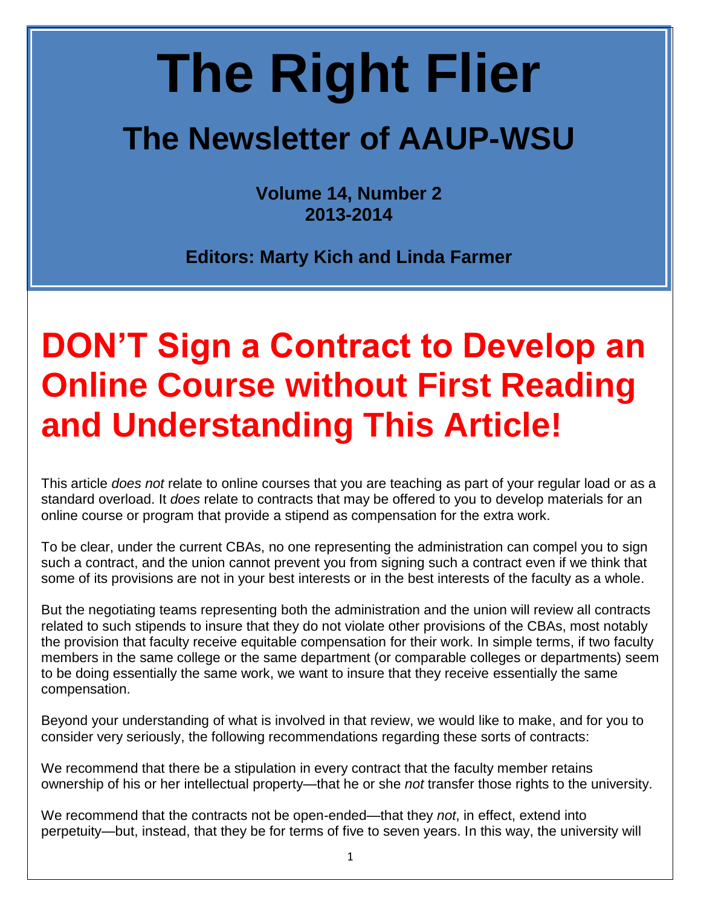# **The Right Flier**

## **The Newsletter of AAUP-WSU**

**Volume 14, Number 2 2013-2014**

**Editors: Marty Kich and Linda Farmer**

## **DON'T Sign a Contract to Develop an Online Course without First Reading and Understanding This Article!**

This article *does not* relate to online courses that you are teaching as part of your regular load or as a standard overload. It *does* relate to contracts that may be offered to you to develop materials for an online course or program that provide a stipend as compensation for the extra work.

To be clear, under the current CBAs, no one representing the administration can compel you to sign such a contract, and the union cannot prevent you from signing such a contract even if we think that some of its provisions are not in your best interests or in the best interests of the faculty as a whole.

But the negotiating teams representing both the administration and the union will review all contracts related to such stipends to insure that they do not violate other provisions of the CBAs, most notably the provision that faculty receive equitable compensation for their work. In simple terms, if two faculty members in the same college or the same department (or comparable colleges or departments) seem to be doing essentially the same work, we want to insure that they receive essentially the same compensation.

Beyond your understanding of what is involved in that review, we would like to make, and for you to consider very seriously, the following recommendations regarding these sorts of contracts:

We recommend that there be a stipulation in every contract that the faculty member retains ownership of his or her intellectual property—that he or she *not* transfer those rights to the university.

We recommend that the contracts not be open-ended—that they *not*, in effect, extend into perpetuity—but, instead, that they be for terms of five to seven years. In this way, the university will